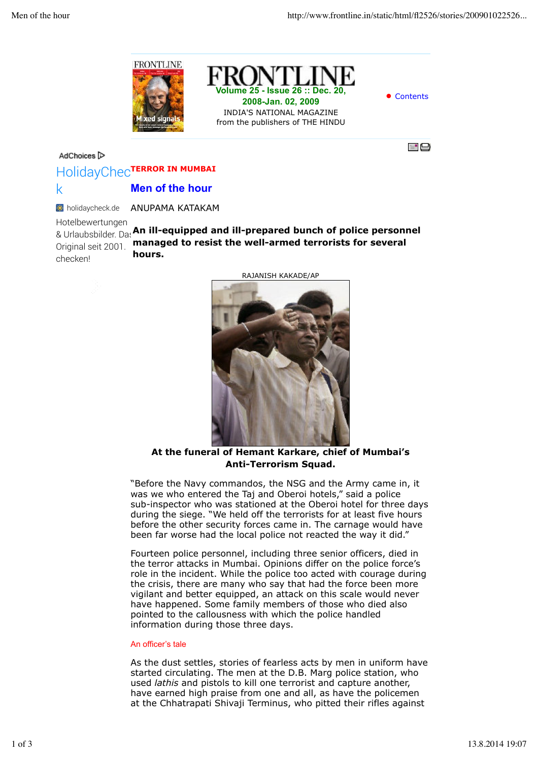





## AdChoices<sup>1></sup>



## HolidayChec<sup>tERROR</sup> IN MUMBAI **Men of the hour** k

ANUPAMA KATAKAM **k** holidaycheck.de

& Urlaubsbilder. Das An ill-equipped and ill-prepared bunch of police personnel **managed to resist the well-armed terrorists for several hours.** Hotelbewertungen Original seit 2001. checken!



RAJANISH KAKADE/AP

**At the funeral of Hemant Karkare, chief of Mumbai's Anti-Terrorism Squad.**

"Before the Navy commandos, the NSG and the Army came in, it was we who entered the Taj and Oberoi hotels," said a police sub-inspector who was stationed at the Oberoi hotel for three days during the siege. "We held off the terrorists for at least five hours before the other security forces came in. The carnage would have been far worse had the local police not reacted the way it did."

Fourteen police personnel, including three senior officers, died in the terror attacks in Mumbai. Opinions differ on the police force's role in the incident. While the police too acted with courage during the crisis, there are many who say that had the force been more vigilant and better equipped, an attack on this scale would never have happened. Some family members of those who died also pointed to the callousness with which the police handled information during those three days.

## An officer's tale

As the dust settles, stories of fearless acts by men in uniform have started circulating. The men at the D.B. Marg police station, who used *lathis* and pistols to kill one terrorist and capture another, have earned high praise from one and all, as have the policemen at the Chhatrapati Shivaji Terminus, who pitted their rifles against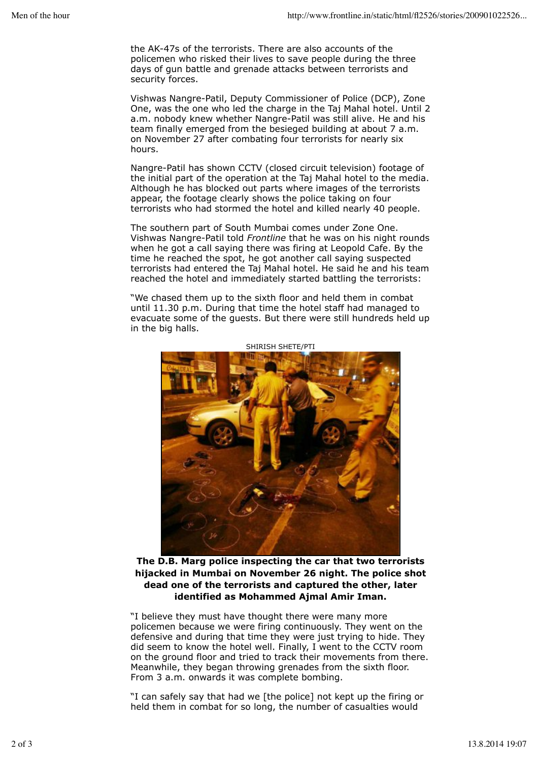the AK-47s of the terrorists. There are also accounts of the policemen who risked their lives to save people during the three days of gun battle and grenade attacks between terrorists and security forces.

Vishwas Nangre-Patil, Deputy Commissioner of Police (DCP), Zone One, was the one who led the charge in the Taj Mahal hotel. Until 2 a.m. nobody knew whether Nangre-Patil was still alive. He and his team finally emerged from the besieged building at about 7 a.m. on November 27 after combating four terrorists for nearly six hours.

Nangre-Patil has shown CCTV (closed circuit television) footage of the initial part of the operation at the Taj Mahal hotel to the media. Although he has blocked out parts where images of the terrorists appear, the footage clearly shows the police taking on four terrorists who had stormed the hotel and killed nearly 40 people.

The southern part of South Mumbai comes under Zone One. Vishwas Nangre-Patil told *Frontline* that he was on his night rounds when he got a call saying there was firing at Leopold Cafe. By the time he reached the spot, he got another call saying suspected terrorists had entered the Taj Mahal hotel. He said he and his team reached the hotel and immediately started battling the terrorists:

"We chased them up to the sixth floor and held them in combat until 11.30 p.m. During that time the hotel staff had managed to evacuate some of the guests. But there were still hundreds held up in the big halls.



SHIRISH SHETE/PTI

**The D.B. Marg police inspecting the car that two terrorists hijacked in Mumbai on November 26 night. The police shot dead one of the terrorists and captured the other, later identified as Mohammed Ajmal Amir Iman.**

"I believe they must have thought there were many more policemen because we were firing continuously. They went on the defensive and during that time they were just trying to hide. They did seem to know the hotel well. Finally, I went to the CCTV room on the ground floor and tried to track their movements from there. Meanwhile, they began throwing grenades from the sixth floor. From 3 a.m. onwards it was complete bombing.

"I can safely say that had we [the police] not kept up the firing or held them in combat for so long, the number of casualties would